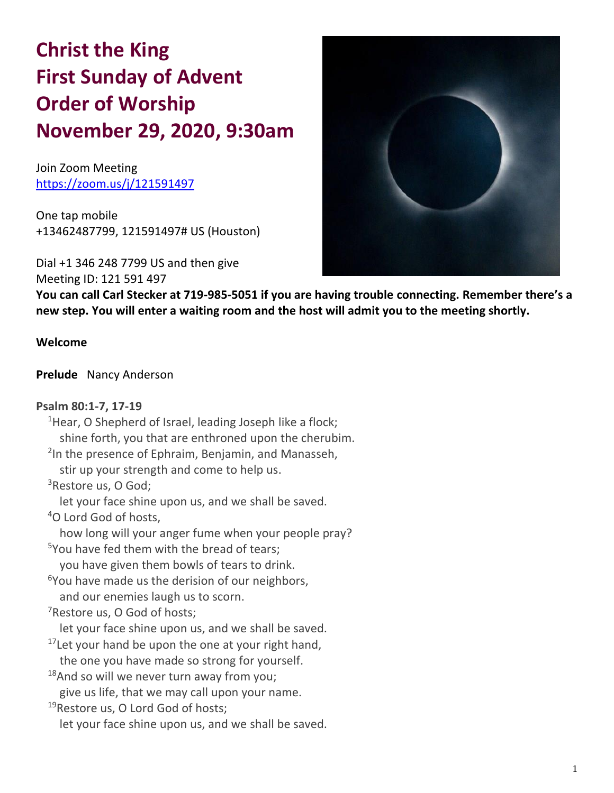# **Christ the King First Sunday of Advent Order of Worship November 29, 2020, 9:30am**

Join Zoom Meeting https://zoom.us/j/121591497

One tap mobile +13462487799, 121591497# US (Houston)

Dial +1 346 248 7799 US and then give

Meeting ID: 121 591 497

**You can call Carl Stecker at 719-985-5051 if you are having trouble connecting. Remember there's a new step. You will enter a waiting room and the host will admit you to the meeting shortly.**

#### **Welcome**

#### **Prelude** Nancy Anderson

#### **Psalm 80:1-7, 17-19**

<sup>1</sup>Hear, O Shepherd of Israel, leading Joseph like a flock; shine forth, you that are enthroned upon the cherubim. <sup>2</sup>In the presence of Ephraim, Benjamin, and Manasseh, stir up your strength and come to help us. <sup>3</sup>Restore us, O God; let your face shine upon us, and we shall be saved. <sup>4</sup>O Lord God of hosts, how long will your anger fume when your people pray?  $5$ You have fed them with the bread of tears: you have given them bowls of tears to drink. <sup>6</sup>You have made us the derision of our neighbors, and our enemies laugh us to scorn. <sup>7</sup>Restore us, O God of hosts; let your face shine upon us, and we shall be saved.  $17$ Let your hand be upon the one at your right hand, the one you have made so strong for yourself.  $18$ And so will we never turn away from you; give us life, that we may call upon your name. <sup>19</sup>Restore us, O Lord God of hosts; let your face shine upon us, and we shall be saved.

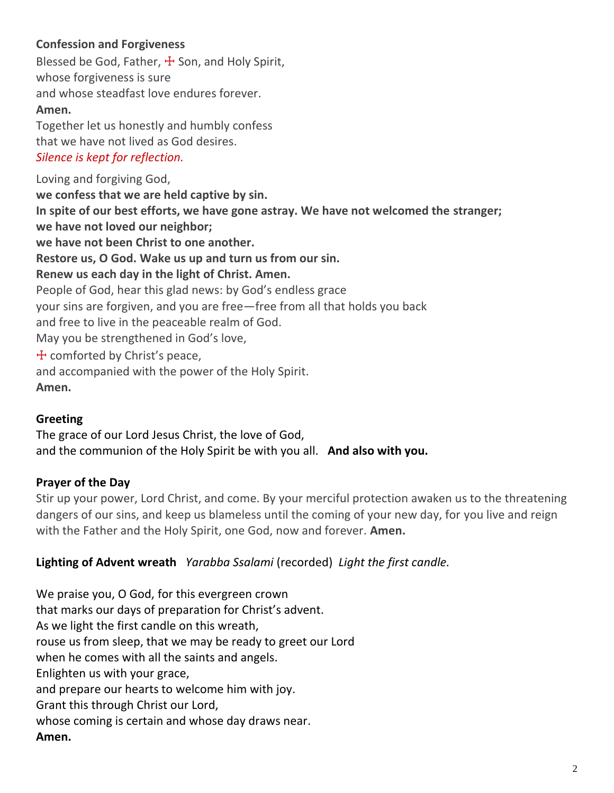# **Confession and Forgiveness**

Blessed be God, Father,  $\pm$  Son, and Holy Spirit, whose forgiveness is sure and whose steadfast love endures forever. **Amen.**

Together let us honestly and humbly confess that we have not lived as God desires. *Silence is kept for reflection.*

Loving and forgiving God, **we confess that we are held captive by sin. In spite of our best efforts, we have gone astray. We have not welcomed the stranger; we have not loved our neighbor; we have not been Christ to one another. Restore us, O God. Wake us up and turn us from our sin. Renew us each day in the light of Christ. Amen.** People of God, hear this glad news: by God's endless grace your sins are forgiven, and you are free—free from all that holds you back and free to live in the peaceable realm of God. May you be strengthened in God's love,  $+$  comforted by Christ's peace, and accompanied with the power of the Holy Spirit. **Amen.**

# **Greeting**

The grace of our Lord Jesus Christ, the love of God, and the communion of the Holy Spirit be with you all. **And also with you.**

# **Prayer of the Day**

Stir up your power, Lord Christ, and come. By your merciful protection awaken us to the threatening dangers of our sins, and keep us blameless until the coming of your new day, for you live and reign with the Father and the Holy Spirit, one God, now and forever. **Amen.**

# **Lighting of Advent wreath** *Yarabba Ssalami* (recorded) *Light the first candle.*

We praise you, O God, for this evergreen crown that marks our days of preparation for Christ's advent. As we light the first candle on this wreath, rouse us from sleep, that we may be ready to greet our Lord when he comes with all the saints and angels. Enlighten us with your grace, and prepare our hearts to welcome him with joy. Grant this through Christ our Lord, whose coming is certain and whose day draws near. **Amen.**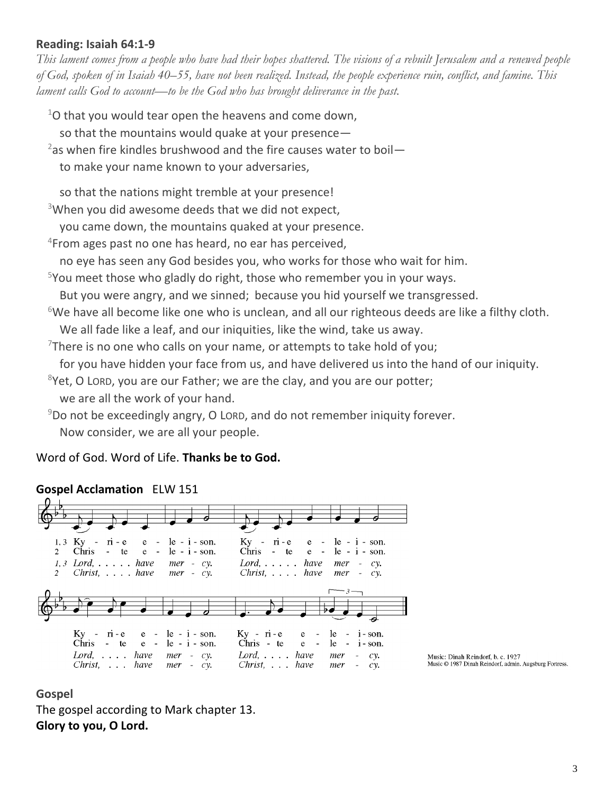#### **Reading: Isaiah 64:1-9**

*This lament comes from a people who have had their hopes shattered. The visions of a rebuilt Jerusalem and a renewed people of God, spoken of in Isaiah 40–55, have not been realized. Instead, the people experience ruin, conflict, and famine. This lament calls God to account—to be the God who has brought deliverance in the past.*

 $1$ O that you would tear open the heavens and come down,

so that the mountains would quake at your presence—

- <sup>2</sup>as when fire kindles brushwood and the fire causes water to boil
	- to make your name known to your adversaries,

so that the nations might tremble at your presence!

 $3$ When you did awesome deeds that we did not expect,

you came down, the mountains quaked at your presence.

4 From ages past no one has heard, no ear has perceived,

no eye has seen any God besides you, who works for those who wait for him.

<sup>5</sup>You meet those who gladly do right, those who remember you in your ways.

But you were angry, and we sinned; because you hid yourself we transgressed.

 $6$ We have all become like one who is unclean, and all our righteous deeds are like a filthy cloth. We all fade like a leaf, and our iniquities, like the wind, take us away.

 $7$ There is no one who calls on your name, or attempts to take hold of you;

for you have hidden your face from us, and have delivered us into the hand of our iniquity.

- $8$ Yet, O LORD, you are our Father; we are the clay, and you are our potter;
- we are all the work of your hand.

 $9D$ o not be exceedingly angry, O LORD, and do not remember iniquity forever. Now consider, we are all your people.

Word of God. Word of Life. **Thanks be to God.**

# **Gospel Acclamation** ELW 151



Music: Dinah Reindorf, b. c. 1927 Music © 1987 Dinah Reindorf, admin. Augsburg Fortress.

#### **Gospel**

The gospel according to Mark chapter 13. **Glory to you, O Lord.**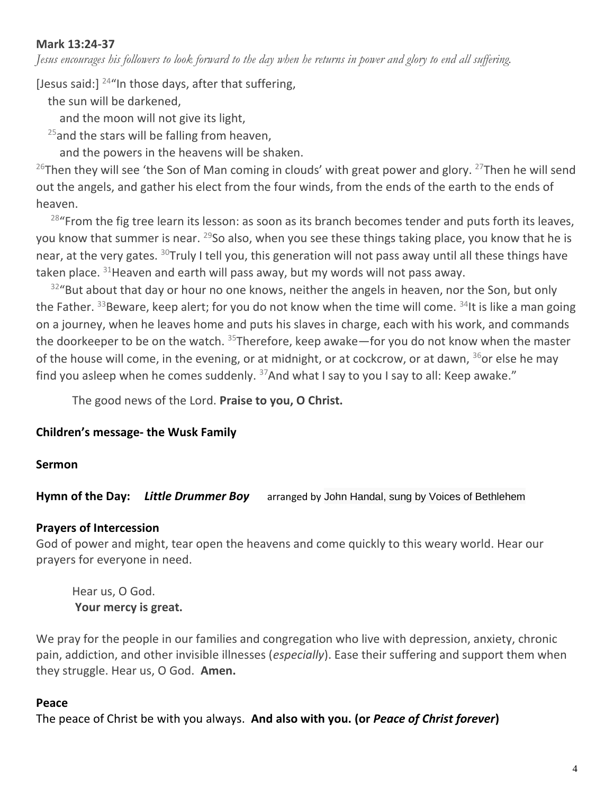## **Mark 13:24-37**

*Jesus encourages his followers to look forward to the day when he returns in power and glory to end all suffering.*

[Jesus said:]  $^{24}$ "In those days, after that suffering,

the sun will be darkened,

and the moon will not give its light,

 $25$  and the stars will be falling from heaven,

and the powers in the heavens will be shaken.

<sup>26</sup>Then they will see 'the Son of Man coming in clouds' with great power and glory. <sup>27</sup>Then he will send out the angels, and gather his elect from the four winds, from the ends of the earth to the ends of heaven.

 $28$ "From the fig tree learn its lesson: as soon as its branch becomes tender and puts forth its leaves, you know that summer is near.  $^{29}$ So also, when you see these things taking place, you know that he is near, at the very gates. <sup>30</sup>Truly I tell you, this generation will not pass away until all these things have taken place.  $31$ Heaven and earth will pass away, but my words will not pass away.

 $32^{\circ}$ But about that day or hour no one knows, neither the angels in heaven, nor the Son, but only the Father.  $33B$ eware, keep alert; for you do not know when the time will come.  $34$ It is like a man going on a journey, when he leaves home and puts his slaves in charge, each with his work, and commands the doorkeeper to be on the watch.  $35$ Therefore, keep awake—for you do not know when the master of the house will come, in the evening, or at midnight, or at cockcrow, or at dawn,  $36$  or else he may find you asleep when he comes suddenly.  $37$ And what I say to you I say to all: Keep awake."

The good news of the Lord. **Praise to you, O Christ.**

# **Children's message- the Wusk Family**

#### **Sermon**

**Hymn of the Day:** *Little Drummer Boy*arranged by John Handal, sung by Voices of Bethlehem

# **Prayers of Intercession**

God of power and might, tear open the heavens and come quickly to this weary world. Hear our prayers for everyone in need.

Hear us, O God. **Your mercy is great.**

We pray for the people in our families and congregation who live with depression, anxiety, chronic pain, addiction, and other invisible illnesses (*especially*). Ease their suffering and support them when they struggle. Hear us, O God. **Amen.**

# **Peace**

The peace of Christ be with you always. **And also with you. (or** *Peace of Christ forever***)**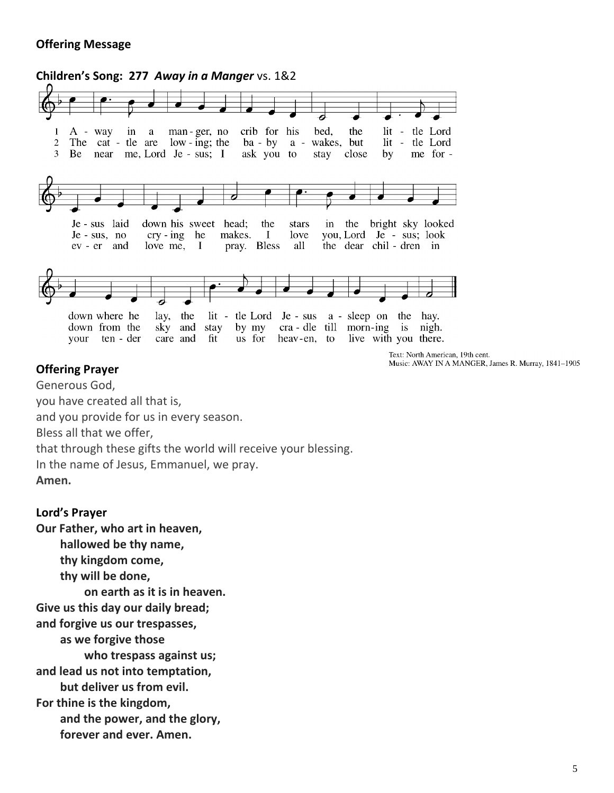## **Offering Message**



Text: North American, 19th cent. Music: AWAY IN A MANGER, James R. Murray, 1841-1905

#### **Offering Prayer**

Generous God,

you have created all that is,

and you provide for us in every season.

Bless all that we offer,

that through these gifts the world will receive your blessing.

In the name of Jesus, Emmanuel, we pray.

**Amen.**

#### **Lord's Prayer**

**Our Father, who art in heaven, hallowed be thy name, thy kingdom come, thy will be done, on earth as it is in heaven. Give us this day our daily bread; and forgive us our trespasses, as we forgive those who trespass against us; and lead us not into temptation, but deliver us from evil. For thine is the kingdom, and the power, and the glory, forever and ever. Amen.**